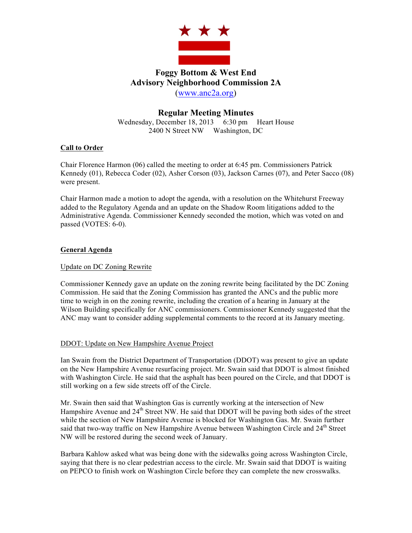

# **Foggy Bottom & West End Advisory Neighborhood Commission 2A** (www.anc2a.org)

# **Regular Meeting Minutes**

Wednesday, December 18, 2013 6:30 pm Heart House 2400 N Street NW Washington, DC

## **Call to Order**

Chair Florence Harmon (06) called the meeting to order at 6:45 pm. Commissioners Patrick Kennedy (01), Rebecca Coder (02), Asher Corson (03), Jackson Carnes (07), and Peter Sacco (08) were present.

Chair Harmon made a motion to adopt the agenda, with a resolution on the Whitehurst Freeway added to the Regulatory Agenda and an update on the Shadow Room litigations added to the Administrative Agenda. Commissioner Kennedy seconded the motion, which was voted on and passed (VOTES: 6-0).

## **General Agenda**

## Update on DC Zoning Rewrite

Commissioner Kennedy gave an update on the zoning rewrite being facilitated by the DC Zoning Commission. He said that the Zoning Commission has granted the ANCs and the public more time to weigh in on the zoning rewrite, including the creation of a hearing in January at the Wilson Building specifically for ANC commissioners. Commissioner Kennedy suggested that the ANC may want to consider adding supplemental comments to the record at its January meeting.

## DDOT: Update on New Hampshire Avenue Project

Ian Swain from the District Department of Transportation (DDOT) was present to give an update on the New Hampshire Avenue resurfacing project. Mr. Swain said that DDOT is almost finished with Washington Circle. He said that the asphalt has been poured on the Circle, and that DDOT is still working on a few side streets off of the Circle.

Mr. Swain then said that Washington Gas is currently working at the intersection of New Hampshire Avenue and 24<sup>th</sup> Street NW. He said that DDOT will be paving both sides of the street while the section of New Hampshire Avenue is blocked for Washington Gas. Mr. Swain further said that two-way traffic on New Hampshire Avenue between Washington Circle and  $24<sup>th</sup>$  Street NW will be restored during the second week of January.

Barbara Kahlow asked what was being done with the sidewalks going across Washington Circle, saying that there is no clear pedestrian access to the circle. Mr. Swain said that DDOT is waiting on PEPCO to finish work on Washington Circle before they can complete the new crosswalks.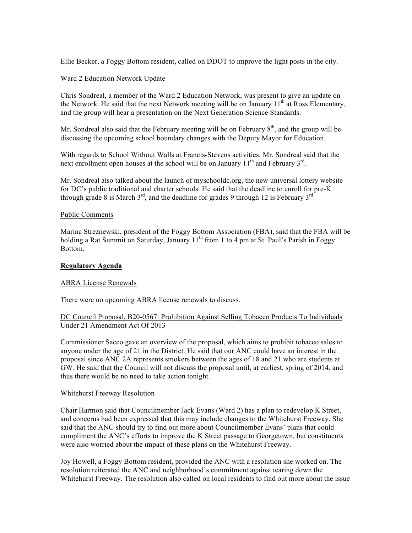Ellie Becker, a Foggy Bottom resident, called on DDOT to improve the light posts in the city.

## Ward 2 Education Network Update

Chris Sondreal, a member of the Ward 2 Education Network, was present to give an update on the Network. He said that the next Network meeting will be on January  $11<sup>th</sup>$  at Ross Elementary, and the group will hear a presentation on the Next Generation Science Standards.

Mr. Sondreal also said that the February meeting will be on February  $8<sup>th</sup>$ , and the group will be discussing the upcoming school boundary changes with the Deputy Mayor for Education.

With regards to School Without Walls at Francis-Stevens activities, Mr. Sondreal said that the next enrollment open houses at the school will be on January  $11<sup>th</sup>$  and February  $3<sup>rd</sup>$ .

Mr. Sondreal also talked about the launch of myschooldc.org, the new universal lottery website for DC's public traditional and charter schools. He said that the deadline to enroll for pre-K through grade 8 is March  $3^{rd}$ , and the deadline for grades 9 through 12 is February  $3^{rd}$ .

## Public Comments

Marina Streznewski, president of the Foggy Bottom Association (FBA), said that the FBA will be holding a Rat Summit on Saturday, January  $11<sup>th</sup>$  from 1 to 4 pm at St. Paul's Parish in Foggy Bottom.

## **Regulatory Agenda**

## ABRA License Renewals

There were no upcoming ABRA license renewals to discuss.

## DC Council Proposal, B20-0567: Prohibition Against Selling Tobacco Products To Individuals Under 21 Amendment Act Of 2013

Commissioner Sacco gave an overview of the proposal, which aims to prohibit tobacco sales to anyone under the age of 21 in the District. He said that our ANC could have an interest in the proposal since ANC 2A represents smokers between the ages of 18 and 21 who are students at GW. He said that the Council will not discuss the proposal until, at earliest, spring of 2014, and thus there would be no need to take action tonight.

#### Whitehurst Freeway Resolution

Chair Harmon said that Councilmember Jack Evans (Ward 2) has a plan to redevelop K Street, and concerns had been expressed that this may include changes to the Whitehurst Freeway. She said that the ANC should try to find out more about Councilmember Evans' plans that could compliment the ANC's efforts to improve the K Street passage to Georgetown, but constituents were also worried about the impact of these plans on the Whitehurst Freeway.

Joy Howell, a Foggy Bottom resident, provided the ANC with a resolution she worked on. The resolution reiterated the ANC and neighborhood's commitment against tearing down the Whitehurst Freeway. The resolution also called on local residents to find out more about the issue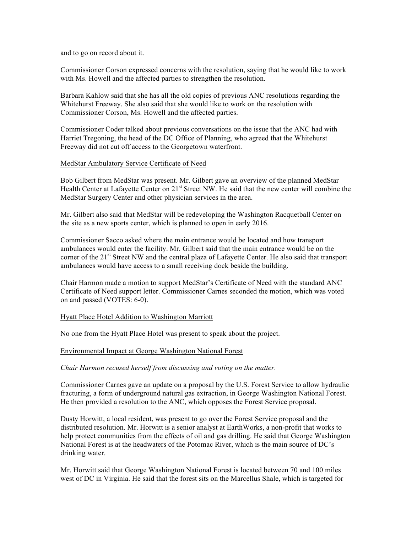and to go on record about it.

Commissioner Corson expressed concerns with the resolution, saying that he would like to work with Ms. Howell and the affected parties to strengthen the resolution.

Barbara Kahlow said that she has all the old copies of previous ANC resolutions regarding the Whitehurst Freeway. She also said that she would like to work on the resolution with Commissioner Corson, Ms. Howell and the affected parties.

Commissioner Coder talked about previous conversations on the issue that the ANC had with Harriet Tregoning, the head of the DC Office of Planning, who agreed that the Whitehurst Freeway did not cut off access to the Georgetown waterfront.

#### MedStar Ambulatory Service Certificate of Need

Bob Gilbert from MedStar was present. Mr. Gilbert gave an overview of the planned MedStar Health Center at Lafayette Center on 21<sup>st</sup> Street NW. He said that the new center will combine the MedStar Surgery Center and other physician services in the area.

Mr. Gilbert also said that MedStar will be redeveloping the Washington Racquetball Center on the site as a new sports center, which is planned to open in early 2016.

Commissioner Sacco asked where the main entrance would be located and how transport ambulances would enter the facility. Mr. Gilbert said that the main entrance would be on the corner of the  $21<sup>st</sup>$  Street NW and the central plaza of Lafayette Center. He also said that transport ambulances would have access to a small receiving dock beside the building.

Chair Harmon made a motion to support MedStar's Certificate of Need with the standard ANC Certificate of Need support letter. Commissioner Carnes seconded the motion, which was voted on and passed (VOTES: 6-0).

#### Hyatt Place Hotel Addition to Washington Marriott

No one from the Hyatt Place Hotel was present to speak about the project.

#### Environmental Impact at George Washington National Forest

*Chair Harmon recused herself from discussing and voting on the matter.*

Commissioner Carnes gave an update on a proposal by the U.S. Forest Service to allow hydraulic fracturing, a form of underground natural gas extraction, in George Washington National Forest. He then provided a resolution to the ANC, which opposes the Forest Service proposal.

Dusty Horwitt, a local resident, was present to go over the Forest Service proposal and the distributed resolution. Mr. Horwitt is a senior analyst at EarthWorks, a non-profit that works to help protect communities from the effects of oil and gas drilling. He said that George Washington National Forest is at the headwaters of the Potomac River, which is the main source of DC's drinking water.

Mr. Horwitt said that George Washington National Forest is located between 70 and 100 miles west of DC in Virginia. He said that the forest sits on the Marcellus Shale, which is targeted for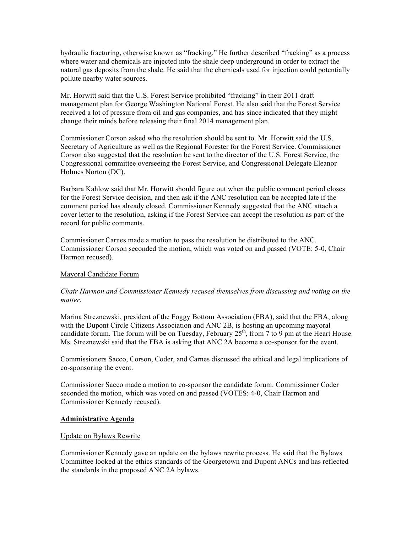hydraulic fracturing, otherwise known as "fracking." He further described "fracking" as a process where water and chemicals are injected into the shale deep underground in order to extract the natural gas deposits from the shale. He said that the chemicals used for injection could potentially pollute nearby water sources.

Mr. Horwitt said that the U.S. Forest Service prohibited "fracking" in their 2011 draft management plan for George Washington National Forest. He also said that the Forest Service received a lot of pressure from oil and gas companies, and has since indicated that they might change their minds before releasing their final 2014 management plan.

Commissioner Corson asked who the resolution should be sent to. Mr. Horwitt said the U.S. Secretary of Agriculture as well as the Regional Forester for the Forest Service. Commissioner Corson also suggested that the resolution be sent to the director of the U.S. Forest Service, the Congressional committee overseeing the Forest Service, and Congressional Delegate Eleanor Holmes Norton (DC).

Barbara Kahlow said that Mr. Horwitt should figure out when the public comment period closes for the Forest Service decision, and then ask if the ANC resolution can be accepted late if the comment period has already closed. Commissioner Kennedy suggested that the ANC attach a cover letter to the resolution, asking if the Forest Service can accept the resolution as part of the record for public comments.

Commissioner Carnes made a motion to pass the resolution he distributed to the ANC. Commissioner Corson seconded the motion, which was voted on and passed (VOTE: 5-0, Chair Harmon recused).

## Mayoral Candidate Forum

## *Chair Harmon and Commissioner Kennedy recused themselves from discussing and voting on the matter.*

Marina Streznewski, president of the Foggy Bottom Association (FBA), said that the FBA, along with the Dupont Circle Citizens Association and ANC 2B, is hosting an upcoming mayoral candidate forum. The forum will be on Tuesday, February  $25<sup>th</sup>$ , from 7 to 9 pm at the Heart House. Ms. Streznewski said that the FBA is asking that ANC 2A become a co-sponsor for the event.

Commissioners Sacco, Corson, Coder, and Carnes discussed the ethical and legal implications of co-sponsoring the event.

Commissioner Sacco made a motion to co-sponsor the candidate forum. Commissioner Coder seconded the motion, which was voted on and passed (VOTES: 4-0, Chair Harmon and Commissioner Kennedy recused).

## **Administrative Agenda**

## Update on Bylaws Rewrite

Commissioner Kennedy gave an update on the bylaws rewrite process. He said that the Bylaws Committee looked at the ethics standards of the Georgetown and Dupont ANCs and has reflected the standards in the proposed ANC 2A bylaws.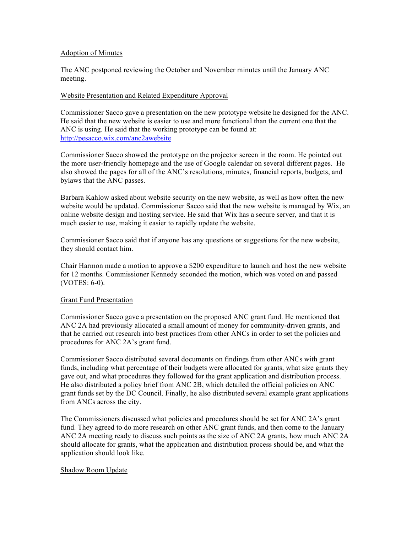## Adoption of Minutes

The ANC postponed reviewing the October and November minutes until the January ANC meeting.

## Website Presentation and Related Expenditure Approval

Commissioner Sacco gave a presentation on the new prototype website he designed for the ANC. He said that the new website is easier to use and more functional than the current one that the ANC is using. He said that the working prototype can be found at: http://pesacco.wix.com/anc2awebsite

Commissioner Sacco showed the prototype on the projector screen in the room. He pointed out the more user-friendly homepage and the use of Google calendar on several different pages. He also showed the pages for all of the ANC's resolutions, minutes, financial reports, budgets, and bylaws that the ANC passes.

Barbara Kahlow asked about website security on the new website, as well as how often the new website would be updated. Commissioner Sacco said that the new website is managed by Wix, an online website design and hosting service. He said that Wix has a secure server, and that it is much easier to use, making it easier to rapidly update the website.

Commissioner Sacco said that if anyone has any questions or suggestions for the new website, they should contact him.

Chair Harmon made a motion to approve a \$200 expenditure to launch and host the new website for 12 months. Commissioner Kennedy seconded the motion, which was voted on and passed (VOTES: 6-0).

## Grant Fund Presentation

Commissioner Sacco gave a presentation on the proposed ANC grant fund. He mentioned that ANC 2A had previously allocated a small amount of money for community-driven grants, and that he carried out research into best practices from other ANCs in order to set the policies and procedures for ANC 2A's grant fund.

Commissioner Sacco distributed several documents on findings from other ANCs with grant funds, including what percentage of their budgets were allocated for grants, what size grants they gave out, and what procedures they followed for the grant application and distribution process. He also distributed a policy brief from ANC 2B, which detailed the official policies on ANC grant funds set by the DC Council. Finally, he also distributed several example grant applications from ANCs across the city.

The Commissioners discussed what policies and procedures should be set for ANC 2A's grant fund. They agreed to do more research on other ANC grant funds, and then come to the January ANC 2A meeting ready to discuss such points as the size of ANC 2A grants, how much ANC 2A should allocate for grants, what the application and distribution process should be, and what the application should look like.

## Shadow Room Update